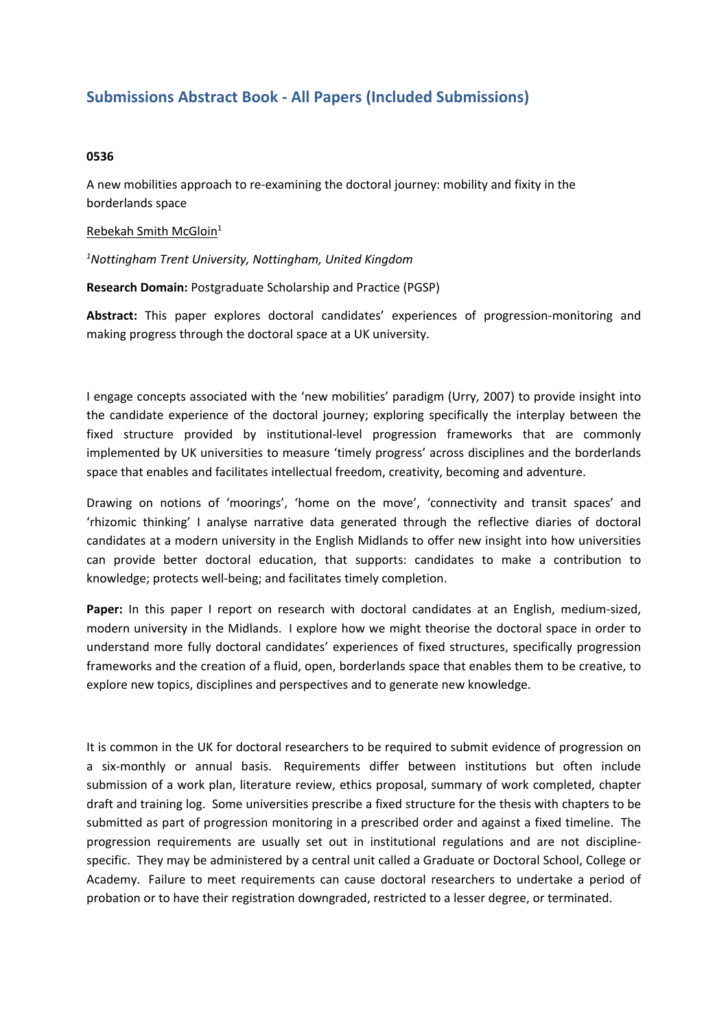## **Submissions Abstract Book - All Papers (Included Submissions)**

## **0536**

A new mobilities approach to re-examining the doctoral journey: mobility and fixity in the borderlands space

## Rebekah Smith McGloin<sup>1</sup>

*1 Nottingham Trent University, Nottingham, United Kingdom*

**Research Domain:** Postgraduate Scholarship and Practice (PGSP)

**Abstract:** This paper explores doctoral candidates' experiences of progression-monitoring and making progress through the doctoral space at <sup>a</sup> UK university.

I engage concepts associated with the 'new mobilities' paradigm (Urry, 2007) to provide insight into the candidate experience of the doctoral journey; exploring specifically the interplay between the fixed structure provided by institutional-level progression frameworks that are commonly implemented by UK universities to measure 'timely progress' across disciplines and the borderlands space that enables and facilitates intellectual freedom, creativity, becoming and adventure.

Drawing on notions of 'moorings', 'home on the move', 'connectivity and transit spaces' and 'rhizomic thinking' I analyse narrative data generated through the reflective diaries of doctoral candidates at <sup>a</sup> modern university in the English Midlands to offer new insight into how universities can provide better doctoral education, that supports: candidates to make <sup>a</sup> contribution to knowledge; protects well-being; and facilitates timely completion.

**Paper:** In this paper I report on research with doctoral candidates at an English, medium-sized, modern university in the Midlands. I explore how we might theorise the doctoral space in order to understand more fully doctoral candidates' experiences of fixed structures, specifically progression frameworks and the creation of <sup>a</sup> fluid, open, borderlands space that enables them to be creative, to explore new topics, disciplines and perspectives and to generate new knowledge.

It is common in the UK for doctoral researchers to be required to submit evidence of progression on <sup>a</sup> six-monthly or annual basis. Requirements differ between institutions but often include submission of <sup>a</sup> work plan, literature review, ethics proposal, summary of work completed, chapter draft and training log. Some universities prescribe <sup>a</sup> fixed structure for the thesis with chapters to be submitted as part of progression monitoring in <sup>a</sup> prescribed order and against <sup>a</sup> fixed timeline. The progression requirements are usually set out in institutional regulations and are not disciplinespecific. They may be administered by <sup>a</sup> central unit called <sup>a</sup> Graduate or Doctoral School, College or Academy. Failure to meet requirements can cause doctoral researchers to undertake <sup>a</sup> period of probation or to have their registration downgraded, restricted to <sup>a</sup> lesser degree, or terminated.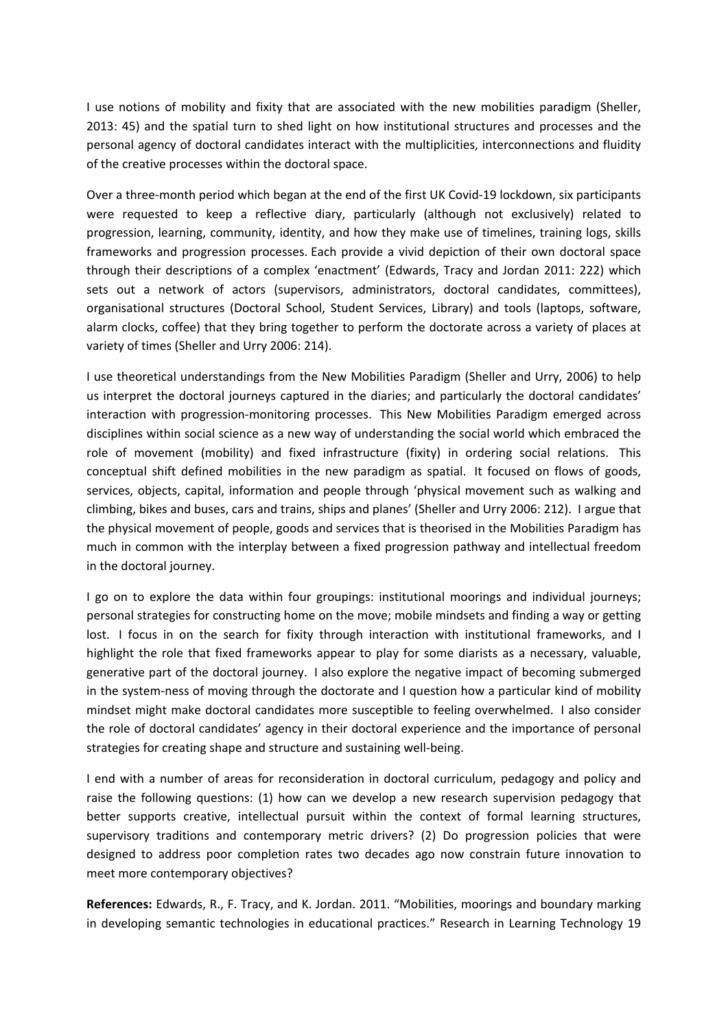I use notions of mobility and fixity that are associated with the new mobilities paradigm (Sheller, 2013: 45) and the spatial turn to shed light on how institutional structures and processes and the personal agency of doctoral candidates interact with the multiplicities, interconnections and fluidity of the creative processes within the doctoral space.

Over <sup>a</sup> three-month period which began at the end of the first UK Covid-19 lockdown, six participants were requested to keep <sup>a</sup> reflective diary, particularly (although not exclusively) related to progression, learning, community, identity, and how they make use of timelines, training logs, skills frameworks and progression processes. Each provide <sup>a</sup> vivid depiction of their own doctoral space through their descriptions of <sup>a</sup> complex 'enactment' (Edwards, Tracy and Jordan 2011: 222) which sets out <sup>a</sup> network of actors (supervisors, administrators, doctoral candidates, committees), organisational structures (Doctoral School, Student Services, Library) and tools (laptops, software, alarm clocks, coffee) that they bring together to perform the doctorate across <sup>a</sup> variety of places at variety of times (Sheller and Urry 2006: 214).

I use theoretical understandings from the New Mobilities Paradigm (Sheller and Urry, 2006) to help us interpret the doctoral journeys captured in the diaries; and particularly the doctoral candidates' interaction with progression-monitoring processes. This New Mobilities Paradigm emerged across disciplines within social science as <sup>a</sup> new way of understanding the social world which embraced the role of movement (mobility) and fixed infrastructure (fixity) in ordering social relations. This conceptual shift defined mobilities in the new paradigm as spatial. It focused on flows of goods, services, objects, capital, information and people through 'physical movement such as walking and climbing, bikes and buses, cars and trains, ships and planes' (Sheller and Urry 2006: 212). I argue that the physical movement of people, goods and services that is theorised in the Mobilities Paradigm has much in common with the interplay between <sup>a</sup> fixed progression pathway and intellectual freedom in the doctoral journey.

I go on to explore the data within four groupings: institutional moorings and individual journeys; personal strategies for constructing home on the move; mobile mindsets and finding <sup>a</sup> way or getting lost. I focus in on the search for fixity through interaction with institutional frameworks, and I highlight the role that fixed frameworks appear to play for some diarists as <sup>a</sup> necessary, valuable, generative part of the doctoral journey. I also explore the negative impact of becoming submerged in the system-ness of moving through the doctorate and I question how <sup>a</sup> particular kind of mobility mindset might make doctoral candidates more susceptible to feeling overwhelmed. I also consider the role of doctoral candidates' agency in their doctoral experience and the importance of personal strategies for creating shape and structure and sustaining well-being.

I end with <sup>a</sup> number of areas for reconsideration in doctoral curriculum, pedagogy and policy and raise the following questions: (1) how can we develop <sup>a</sup> new research supervision pedagogy that better supports creative, intellectual pursuit within the context of formal learning structures, supervisory traditions and contemporary metric drivers? (2) Do progression policies that were designed to address poor completion rates two decades ago now constrain future innovation to meet more contemporary objectives?

**References:** Edwards, R., F. Tracy, and K. Jordan. 2011. "Mobilities, moorings and boundary marking in developing semantic technologies in educational practices." Research in Learning Technology 19